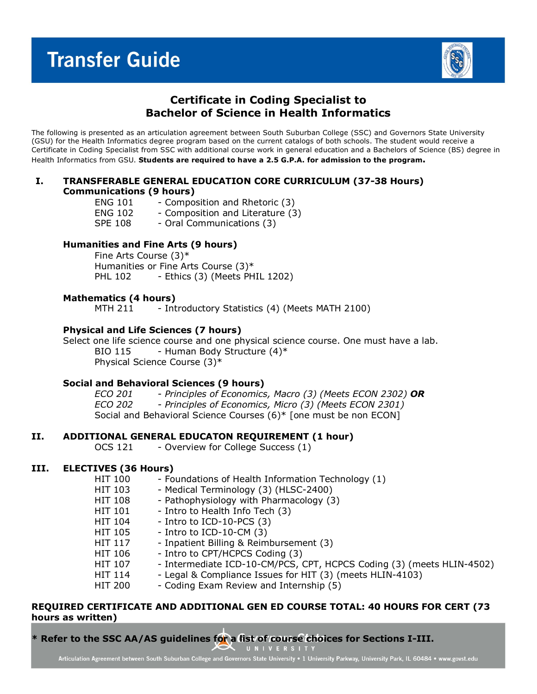

## **Certificate in Coding Specialist to Bachelor of Science in Health Informatics**

The following is presented as an articulation agreement between South Suburban College (SSC) and Governors State University (GSU) for the Health Informatics degree program based on the current catalogs of both schools. The student would receive a Certificate in Coding Specialist from SSC with additional course work in general education and a Bachelors of Science (BS) degree in Health Informatics from GSU. **Students are required to have a 2.5 G.P.A. for admission to the program.**

#### **I. TRANSFERABLE GENERAL EDUCATION CORE CURRICULUM (37-38 Hours) Communications (9 hours)**

| <b>ENG 101</b> | - Composition and Rhetoric (3)   |
|----------------|----------------------------------|
| <b>ENG 102</b> | - Composition and Literature (3) |
| <b>SPE 108</b> | - Oral Communications (3)        |

#### **Humanities and Fine Arts (9 hours)**

Fine Arts Course (3)\* Humanities or Fine Arts Course (3)\* PHL 102 - Ethics (3) (Meets PHIL 1202)

# **Mathematics (4 hours)**

- Introductory Statistics (4) (Meets MATH 2100)

#### **Physical and Life Sciences (7 hours)**

Select one life science course and one physical science course. One must have a lab. BIO 115 - Human Body Structure  $(4)^*$ Physical Science Course (3)\*

#### **Social and Behavioral Sciences (9 hours)**

*ECO 201 - Principles of Economics, Macro (3) (Meets ECON 2302) OR ECO 202 - Principles of Economics, Micro (3) (Meets ECON 2301)* Social and Behavioral Science Courses (6)\* [one must be non ECON]

#### **II. ADDITIONAL GENERAL EDUCATON REQUIREMENT (1 hour)**

OCS 121 - Overview for College Success (1)

#### **III. ELECTIVES (36 Hours)**

| <b>HIT 100</b> | - Foundations of Health Information Technology (1)                    |
|----------------|-----------------------------------------------------------------------|
| HIT 103        | - Medical Terminology (3) (HLSC-2400)                                 |
| <b>HIT 108</b> | - Pathophysiology with Pharmacology (3)                               |
| <b>HIT 101</b> | - Intro to Health Info Tech (3)                                       |
| HIT 104        | - Intro to ICD-10-PCS (3)                                             |
| <b>HIT 105</b> | - Intro to ICD-10-CM $(3)$                                            |
| HIT 117        | - Inpatient Billing & Reimbursement (3)                               |
| HIT 106        | - Intro to CPT/HCPCS Coding (3)                                       |
| <b>HIT 107</b> | - Intermediate ICD-10-CM/PCS, CPT, HCPCS Coding (3) (meets HLIN-4502) |
| HIT 114        | - Legal & Compliance Issues for HIT (3) (meets HLIN-4103)             |
| <b>HIT 200</b> | - Coding Exam Review and Internship (5)                               |

#### **REQUIRED CERTIFICATE AND ADDITIONAL GEN ED COURSE TOTAL: 40 HOURS FOR CERT (73 hours as written)**

**\* Refer to the SSC AA/AS guidelines for a list of course choices for Sections I-III.**

**UNIVERSITY**